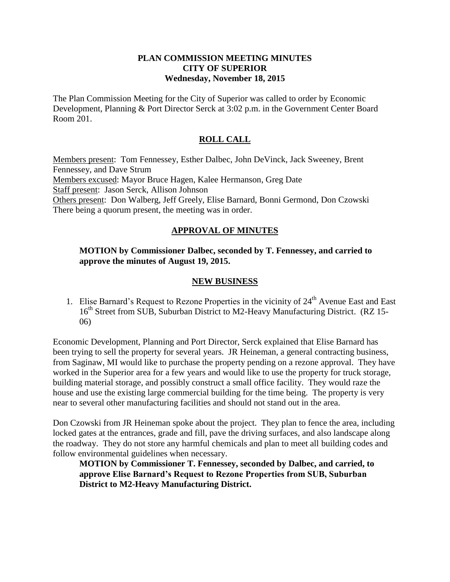#### **PLAN COMMISSION MEETING MINUTES CITY OF SUPERIOR Wednesday, November 18, 2015**

The Plan Commission Meeting for the City of Superior was called to order by Economic Development, Planning & Port Director Serck at 3:02 p.m. in the Government Center Board Room 201.

# **ROLL CALL**

Members present: Tom Fennessey, Esther Dalbec, John DeVinck, Jack Sweeney, Brent Fennessey, and Dave Strum Members excused: Mayor Bruce Hagen, Kalee Hermanson, Greg Date Staff present: Jason Serck, Allison Johnson Others present: Don Walberg, Jeff Greely, Elise Barnard, Bonni Germond, Don Czowski There being a quorum present, the meeting was in order.

# **APPROVAL OF MINUTES**

# **MOTION by Commissioner Dalbec, seconded by T. Fennessey, and carried to approve the minutes of August 19, 2015.**

## **NEW BUSINESS**

1. Elise Barnard's Request to Rezone Properties in the vicinity of  $24<sup>th</sup>$  Avenue East and East 16<sup>th</sup> Street from SUB, Suburban District to M2-Heavy Manufacturing District. (RZ 15-06)

Economic Development, Planning and Port Director, Serck explained that Elise Barnard has been trying to sell the property for several years. JR Heineman, a general contracting business, from Saginaw, MI would like to purchase the property pending on a rezone approval. They have worked in the Superior area for a few years and would like to use the property for truck storage, building material storage, and possibly construct a small office facility. They would raze the house and use the existing large commercial building for the time being. The property is very near to several other manufacturing facilities and should not stand out in the area.

Don Czowski from JR Heineman spoke about the project. They plan to fence the area, including locked gates at the entrances, grade and fill, pave the driving surfaces, and also landscape along the roadway. They do not store any harmful chemicals and plan to meet all building codes and follow environmental guidelines when necessary.

**MOTION by Commissioner T. Fennessey, seconded by Dalbec, and carried, to approve Elise Barnard's Request to Rezone Properties from SUB, Suburban District to M2-Heavy Manufacturing District.**